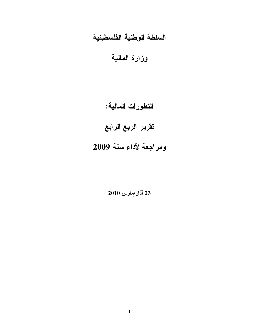## السلطة الوطنية الفلسطينية

وزارة المالية

التطورات المالية:

تقرير الربع الرابع

## ومراجعة لأداء سنة 2009

23 آذار/مارس 2010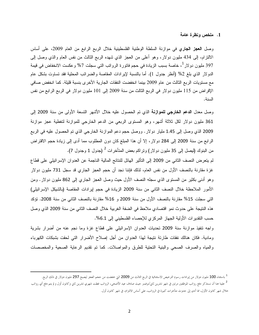وصل ا**لعجز الجاري** في موازنة السلطة الوطنية الفلسطينية خلال الربع الرابع من العام 2009، على أساس الالتزام، إلى 434 مليون دولار، وهو أعلى من العجز الذي شهده الربع الثالث من نفس العام والذي وصل إلى 397 مليون دولار<sup>1</sup>، خاصة بسبب الزيادة في حجم فاتورة الرواتب التي سجلت 7% وعكست الانخفاض في قيمة الدولار الذي بلغ 2% (أنظر جدول 1). أما بالنسبة لإيرادات المقاصة والضرائب المحلية فقد تساوت بشكل عام مع مستويات الربع الثالث من عام 2009 بينما انخفضت النفقات الجارية الأخرى بنسبة قليلة. كما انخفض صافي الإقراض من 115 مليون دولار في الربع الثالث من سنة 2009 إلى 101 مليون دولار في الربع الرابع من نفس السنة.

وصل معدل ا**لدعم الخارجي للموازنة** الذي تم الحصول عليه خلال الأشهر التسعة الأولى من سنة 2009 إلى 361 مليون دولار لكل ثلاثة أشهر، وهو المستوى الربعي من الدعم الخارجي للموازنة لتغطية عجز موازنة 2009 الذي وصل إلى 1.45 مليار دولار . ووصل حجم دعم الموازنة الخارجي الذي تم الحصول عليه في الربع الرابع من سنة 2009 إلى 284 دولار، إلا أن هذا المبلغ كان دون المطلوب مما أدى إلى زيادة حجم الاقتراض من البنوك (ليصل إلى 35 مليون دولار) ونراكم بعض المتأخرات <sup>2</sup> (جدول 1 وجدول 7).

لم يتعرض النصف الثاني من 2009 إلى التأثير الهائل للنتائج المالية الناجمة عن العدوان الإسرائيلي على قطاع غزة مقارنة بالنصف الأول من نفس العام، لذلك فإننا نجد أن حجم العجز الجاري قد سجل 731 مليون دولار وهو أدنى بكثير من المستوى الذي سجله النصف الأول حيث وصل العجز الجاري إلى 862 مليون دولار. ومن الأمور الملاحظة خلال النصف الثاني من سنة 2009 الزيادة في حجم إيرادات المقاصة (بالشيكل الإسرائيلي) التي سجلت 15% مقارنة بالنصف الأول من سنة 2009 و 16% مقارنة بالنصف الثاني من سنة 2008. تؤكد هذه النتيجة على حدوث نمو اقتصادي ملاحظ في الضفة الغربية خلال النصف الثاني من سنة 2009 الذي وصل حسب التقدير ات الأولية الجهاز المركزي للإحصاء الفلسطيني إلى 6.1%.

واجه نتفيذ موازنة سنة 2009 تحديات العدوان الإسرائيلي على قطاع غزة وما نجم عنه من أضرار بشرية ومادية. فكان هنالك نفقات طارئة نتيجة لهذا العدوان من أجل إصلاح الأضرار التي لحقت بشبكات الكهرباء والمياه والصرف الصحى والبنية التحتية للطرق والمواصلات. كما تم تقديم الرعاية الصحية والمخصصات

<sup>&</sup>lt;sup>1</sup> باستثناء 100 مليون دولار من إيرادات رسوم الترخيص الاستثنائية في الربع الثالث من 2009 التي خفضت من حجم العجز ليصبح 297 مليون دولار في ذلك الربع. <sup>2</sup> علينا هنا أن نستذكر دفع رواتب الموظفين مرتين في شهر تشرين ثاني/نوفمبر حيث صادف عيد الأضحى، الرواتب غطت شهري تشرين ثاني وكانون أول و لم يتم دفع أي رواتب خلال شهر كانون الأول، مما أدى إلى حدوث متأخرات كبيرة في الرواتب، على أساس الالتزام، في شهر كانون أول.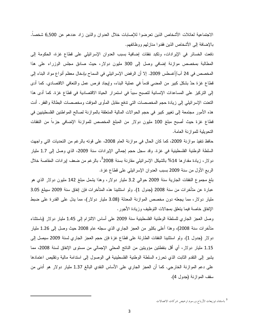الاجتماعية لعائلات الأشخاص الذين نعرضوا للإصابات خلال العدوان والذين زاد عددهم عن 6,500 شخصا. بالإضافة إلى الأشخاص الذين فقدوا منازلهم ووظائفهم.

دَفعت الخسائر في الإيرادات، ونكبد نفقات إضافية بسبب العدوان الإسرائيلي على قطاع غزة، الحكومة إلى المطالبة بمخصص موازنة إضافي وصل إلى 300 مليون دولار، حيث صادق مجلس الوزراء على هذا المخصص في 24 آب/أغسطس 2009. إلا أن الرفض الإسرائيلي في السماح بإدخال معظم أنواع مواد البناء إلى قطاع غزة حدَّ بشكل كبير من المضـي قدماً في عملية البناء، وإيجاد فرص عمل والنعافي الاقتصـادي. كما أدى إلى التركيز على المساعدات الإنسانية لتصبح سبباً في استمرار الحياة الاقتصادية في قطاع غزة. كما أدى هذا النعنت الإسرائيلي إلى زيادة حجم المخصصات النبي ندفع مقابل المأوى المؤقت ومخصصات البطالة والفقر . أدت هذه الأمور مجتمعة إلى تغيير كبير في حجم الحوالات المالية المتعلقة بالموازنة لصالح المواطنين الفلسطينيين في قطاع غزة حيث أصبح مبلغ 100 مليون دولار من المبلغ المخصص للموازنة الإضافي جزءا من النفقات النحويلية للموازنة العامة.

حافظ نتفيذ موازنة 2009، كما كان الحال في موازنة العام 2008، على فوته بالرغم من التحديات التي واجهت السلطة الوطنية الفلسطينية في غزة. وقد سجل حجم إجمالي الإيرادات سنة 2009، الذي وصل إلى 1.7 مليار دولار، زيادة مقدارها 14% بالشيكل الإسرائيلي مقارنة بسنة <sup>3</sup>2008، بالرغم من ضعف إيرادات المقاصة خلال الربع الأول من سنة 2009 بسبب العدوان الإسرائيلي على قطاع غزة.

بلغ مجموع النفقات الجارية سنة 2009 حوالي 3.2 مليار دولار، وهذا يشمل مبلغ 142 مليون دولار الذي هو عبارة عن متأخرات من سنة 2008 (جدول 1). ولو استثنينا هذه المتأخرات فإن إنفاق سنة 2009 سيبلغ 3.05 مليار دولار، مما يجعله دون مخصص الموازنة المعدلة (3.08 مليار دولار)، مما يدل على القدرة على ضبط الإنفاق خاصة فيما يتعلق بمجالات التوظيف وزيادة الأجور .

وصل العجز الجاري للسلطة الوطنية الفلسطينية سنة 2009 على أساس الالنزام إلى 1.45 مليار دولار (باستثناء متأخرات سنة 2008)، وهذا أعلى بكثير من العجز الجاري الذي سجله عام 2008 حيث وصل إلى 1.26 مليار دولار (جدول 1). ولو استثنينا النفقات الطارئة على قطاع غزة فإن حجم العجز الجاري لسنة 2009 سيصل إلى 1.15 مليار دولار، أي أقل بنقطتين مؤويتين من الناتج المحلي الإجمالي من مستوى الإنفاق لسنة 2008، مما يشير إلى النقدم الثابت الذي تحرزه السلطة الوطنية الفلسطينية في الوصول إلى استدامة مالية ونقليص اعتمادها على دعم الموازنة الخارجي. كما أن العجز الجاري على الأساس النقدي البالغ 1.37 مليار دولار هو أدنى من سقف الموازنة (جدول 4).

<sup>&</sup>lt;sup>3</sup> باستثناء توزيعات الأرباح ورسوم ترخيص شركات الاتصالات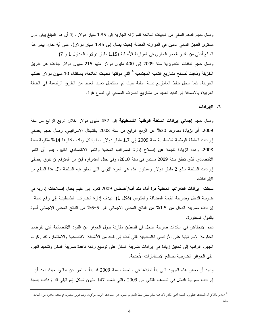وصل حجم الدعم المالي من الجهات المانحة للموازنة الجارية إلى 1.35 مليار دولار . إلا أن هذا المبلغ يبقى دون مستوى العجز المالي المبين في الموازنة المعدلة (حيث يصل إلى 1.45 مليار دولار). على أية حال، يبقى هذا المبلغ أعلى من نقدير العجز الجاري في الموازنة الأصلية (1.15 مليار دولار، الجداول 1 و 7). وصل حجم النفقات النظويرية سنة 2009 إلى 400 مليون دولار منها 215 مليون دولار جاءت عن طريق الخزينة وذهبت لصالح مشاريع النتمية المجتمعية <sup>4</sup> التي مولتها الجهات المانحة، باستثناء 10 مليون دولار غطتها الخزينة. كما سجل نتفيذ المشاريع نسبة عالية حيث تم استكمال تعبيد العديد من الطرق الرئيسية في الضفة الغربية، بالإضافة إلى نتفيذ العديد من مشاريع الصرف الصحى في قطاع غزة.

2. الإيرادات

وصل حجم إ**جمالي إيرادات السلطة الوطنية الفلسطينية** إلى 437 مليون دولار خلال الربع الرابع من سنة 2009، أي بزيادة مقدارها 20% عن الربع الرابع من سنة 2008 بالشيكل الإسرائيلي. وصل حجم إجمالي إيرادات السلطة الوطنية الفلسطينية سنة 2009 إلى 1.7 مليار دولار مما يشكل زيادة مقدارها 14% مقارنة بسنة 2008، وهذه الزيادة ناجمة عن إصلاح إدارة الضرائب المحلية والنمو الاقتصادي الكبير. يبدو أن النمو الاقتصادي الذي تحقق سنة 2009 مستمر في سنة 2010، وفي حال استمراره فإن من المتوقع أن تفوق إجمالي لِيرادات السلطة مبلغ 2 مليار دولار وستكون هذه هي المرة الأولىي التي تحقق فيه السلطة مثل هذا المبلغ من الإبر ادات.

سجلت إ**يرادات الضرائب المحلية ن**وة أداء منذ آب/أغسطس 2009 نعود إلى القيام بعمل إصلاحات إدارية في ضريبة الدخل وضريبة القيمة المضافة والمكوس (شكل 1). تهدف إدارة الضررائب الفلسطينية إلىي رفع نسبة إيرادات ضريبة الدخل من 1.5% من الناتج المحلي الإجمالي إلى 5−6% من الناتج المحلي الإجمالي أسوة بالدول المجاورة.

نجم الانخفاض في عائدات ضريبة الدخل في فلسطين مقارنة بدول الجوار عن القيود الاقتصادية التي تفرضها الْحَكُومَة الإسرائيلية على الأراضـي الفلسطينية التـي أدت إلى الحد من الأنشطة الاقتصـادية والاستثمار . لقد ركزت الجهود الرامية إلى تحقيق زيادة في إيرادات ضريبة الدخل على نوسيع رقعة قاعدة ضريبة الدخل ونشديد القيود على الحوافز الضريبية لصالح الاستثمارات الأجنبية.

ونجد أن بعض هذه الجهود التي بدأ تتفيذها في منتصف سنة 2009 قد بدأت تثمر عن نتائج، حيث نجد أن إيرادات ضريبة الدخل في النصف الثاني من 2009 والتي بلغت 147 مليون شيكل إسرائيلي قد ازدادت بنسبة

<sup>&</sup>lt;sup>4</sup> الجدير بالذكر أن النفقات التطويرية الفعلية أعلى بكثير لأن هذا المبلغ يغطي فقط المشاريع المرضوعة المركزية. ويتم تمويل المشاريع الإضافية مباشرة من الجهات المانحة.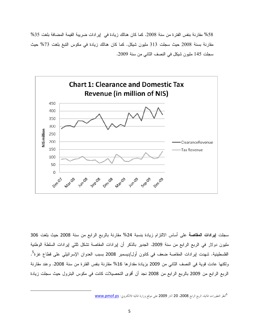58% مقارنة بنفس الفترة من سنة 2008. كما كان هنالك زيادة في إير ادات ضريبة القيمة المضافة بلغت 35% مقارنة بسنة 2008 حيث سجلت 313 مليون شيكل. كما كان هنالك زيادة في مكوس النبغ بلغت 73% حيث سجلت 145 مليون شيكل في النصف الثاني من سنة 2009.



سجلت إ**يرادات المقاصة** على أساس الالتزام زيادة بنسبة 24% مقارنة بالربع الرابع من سنة 2008 حيث بلغت 306 مليون دولار في الربع الرابع من سنة 2009. الجدير بالذكر أن إيرادات المقاصة تشكل تلثي إيرادات السلطة الوطنية الفلسطينية. شهدت إيرادات المقاصة ضعف في كانون أول/ديسمبر 2008 بسبب العدوان الإسرائيلي على قطاع غزة<sup>5</sup>. ولكنها عادت قوية في النصف الثاني من 2009 بزيادة مقدارها 16% مقارنة بنفس الفترة من سنة 2008. وعند مقارنة الربع الرابع من 2009 بالربع الرابع من 2008 نجد أن أقوى التحصيلات كانت في مكوس البترول حيث سجلت زيادة

l

تانظر التطورات المالية، الربع الرابع 2008، 20 آذار 2009 على موقع وزارة المالية الالكتروني: <u>www.pmof.ps</u>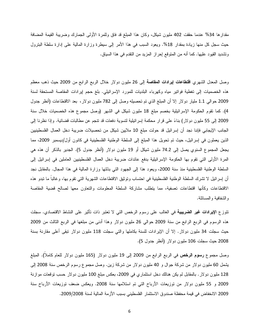مقدارها 34% عندما حققت 402 مليون شيكل، وكان هذا المبلغ قد فاق وللمرة الأولىي الجمارك وضريبة القيمة المضافة حيث سجل كل منها زيادة بمقدار 18%. ويعود السبب في هذا الأمر إلى سيطرة وزارة المالية على إدارة سلطة البنرول ونشديد القيود عليها. كما أنه من المتوقع إحراز المزيد من النقدم في هذا السياق.

وصل المعدل الشهري ا**قتطاعات إيرادات المقاصة** إلى 26 مليون دولار خلال الربع الرابع من 2009 حيث ذهب معظم هذه الخصميات إلى تغطية فواتير مياه وكهرباء البلديات للمورد الإسرائيلي. بلغ حجم إيرادات المقاصة المستحقة لسنة 2009 حوالبي 1.1 مليار دولار إلا أن المبلغ الذي تم تحصيله وصل إلى 782 مليون دولار، بعد الاقتطاعات (أنظر جدول 4). كما نقوم الحكومة الإسرائيلية بخصم مبلغ 18 مليون شيكل في الشهر (وصل مجموع هذه الخصميات خلال سنة 2009 إلى 55 مليون دولار) بناءً على قرار محكمة إسرائيلية لتسوية دفعات قد نتجم عن مطالبات قضائية. وإذا نظرنا إلى الجانب الإيجابي فإننا نجد أن إسرائيل قد حولت مبلغ 10 ملايين شيكل من تحصيلات ضريبة دخل العمال الفلسطينيين الذين يعملون في إسرائيل، حيث تم تحويل هذا المبلغ إلى السلطة الوطنية الفلسطينية في كانون أول/ديسمبر 2009، مما يجعل المجموع السنوي يصل إلى 74.2 مليون شيكل أو 19 مليون دولار (أنظر جدول 5). الجدير بالذكر أن هذه هي المرة الأولى التي نقوم بها الحكومة الإسرائيلية بدفع عائدات ضريبة دخل العمال الفلسطينيين العاملين في إسرائيل إلى السلطة الوطنية الفلسطينية منذ سنة 2000، ويعود هذا إلى الجهود التي بذلتها وزارة المالية في هذا المجال. بالمقابل نجد أن لِسرائيل لا نشرك السلطة الوطنية الفلسطينية في احتساب وتوثيق الاقتطاعات الشهرية التي نقوم بها، وغالباً ما نبدو هذه الاقتطاعات وكأنها اقتطاعات نعسفية، مما يتطلب مشاركة السلطة المعلومات والنعاون معها لصالح قضية المقاصة و الشفافية و المسائلة.

تتوزع الإيرادات غير الضريبية في الغالب على رسوم الرخص التي لا تعتبر ذات تأثير على النشاط الاقتصادي. سجلت هذه الرسوم في الربع الرابع من سنة 2009 حوالي 26 مليون دولار وهذا أدنـي من مبلغها في الربـع الثالث من 2009 حيث سجلت 34 مليون دولار . إلا أن الإيرادات للسنة بكاملها والتبي سجلت 118 مليون دولار نبقى أعلى مقارنة بسنة 2008 حيث سجلت 106 مليون دولار (أنظر جدول 5).

وصل مجموع **رسوم الرخص** في الربع الرابع من 2009 إلى 19 مليون دولار (165 مليون دولار للعام كاملا). المبلغ يشمل 60 مليون دولار من شركة جوال و 40 مليون دولار من شركة زين. وصل مجموع رسوم الرخص سنة 2008 إلى 128 مليون دولار . بالمقابل لم يكن هنالك دخل استثماري في 2009، بعكس مبلغ 100 مليون دولار حسب توقعات موازنة 2009 و 55 مليون دولار من نوزيعات الأرباح التي تم استلامها سنة 2008. ويعكس ضعف نوزيعات الأرباح سنة 2009 الانخفاض في قيمة محفظة صندوق الاستثمار الفلسطيني بسبب الأزمة المالية لسنة 2009/2008.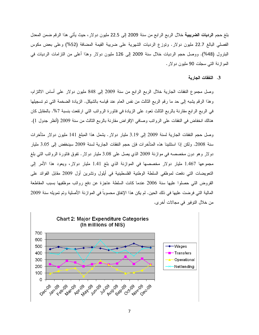بلغ حجم **الرديات الضريبية** خلال الربع الرابع من سنة 2009 إلى 22.5 مليون دولار ، حيث يأتي هذا الرقم ضمن المعدل الفصلَّى البالغ 22.7 مليون دولار. ونوزع الرديات الشهرية على ضريبة القيمة المضافة (52%) وعلى بعض مكوس البترول (48%). ووصل حجم الرديات خلال سنة 2009 إلى 126 مليون دولار وهذا أعلى من التزامات الرديات في الموازنة التي سجلت 90 مليون دولار.

## 3. النفقات الجاربة

وصل مجموع النفقات الجارية خلال الربع الرابع من سنة 2009 إلى 848 مليون دولار على أساس الالتزام، وهذا الرقم يشبه إلى حد ما رقم الربع الثالث من نفس العام عند قياسه بالشيكل. الزيادة الضخمة التي تم تسجيلها في الربع الرابع مقارنة بالربع الثالث نعود على الزيادة في فاتورة الرواتب التي ارتفعت بنسبة 7%. بالمقابل كان هنالك انخفاض في النفقات على الرواتب وصافي الإقراض مقارنة بالربع الثالث من سنة 2009 (أنظر جدول 1).

وصل حجم النفقات الجارية لسنة 2009 إلى 3.19 مليار دولار . يشمل هذا المبلغ 141 مليون دولار متأخرات سنة 2008. ولكن إذا استثنينا هذه المتأخرات فإن حجم النفقات الجارية لسنة 2009 سينخفض إلى 3.05 مليار دولار وهو دون مخصصه في موازنة 2009 الذي يصل على 3.08 مليار دولار . تفوق فاتورة الرواتب التي بلغ مجموعها 1.467 مليار دولار مخصصها في الموازنة الذي بلغ 1.41 مليار دولار، ويعود هذا الأمر إلى النعويضات التي دفعت لموظفي السلطة الوطنية الفلسطينية في أيلول ونشرين أول 2009 مقابل الفوائد على القروض التي حصلوا عليها سنة 2006 عندما كانت السلطة عاجزة عن دفع روانب موظفيها بسبب المقاطعة المالية التي فرضت عليها في ذلك الحين. لم يكن هذا الإنفاق محسوبا في الموازنة الأصلية وتم تمويله سنة 2009 من خلال التوفير في مجالات أخر ي.

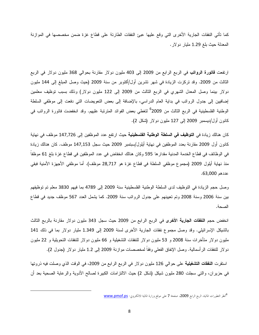كما نأتي النفقات الجارية الأخرى التي وقع عليها عبئ النفقات الطارئة على قطاع غزة ضمن مخصصها في الموازنة المعدلة حيث بلغ 1.29 مليار دولار .

ارتفعت **فاتورة الرواتب** في الربع الرابع من 2009 إلى 403 مليون دولار مقارنة بحوالي 368 مليون دولار في الربع الثالث من 2009. وقد نركزت الزيادة في شهر نشرين أول/أكتوبر من سنة 2009 (حيث وصل المبلغ إلى 144 مليون دولار بينما وصل المعدل الشهري في الربع الثالث من 2009 إلى 122 مليون دولار) وذلك بسبب نوظيف معلمين إضافيين إلى جدول الرواتب في بداية العام الدراسي، بالإضافة إلى بعض التعويضات التي دفعت إلى موظفي السلطة الوطنية الفلسطينية في الربع الثالث من 2009<sup>6</sup> لتغطى بعض الفوائد المترتبة عليهم. وقد انخفضت فاتورة الرواتب في كانون أول/ديسمبر 2009 إلى 127 مليون دولار (شكل 2).

كان هنالك زيادة في ا**لتوظيف في السلطة الوطنية الفلسطينية** حيث ارتفع عدد الموظفين إلى 147,726 موظف في نهاية كانون أول 2009 مقارنة بعدد الموظفين في نهاية أيلول/سبتمبر 2009 حيث سجل 147,153 موظف. كان هنالك زيادة في الوظائف في قطاع الخدمة المدنية مقدار ها 595 وكان هنالك انخفاض في عدد الموظفين في قطاع غزة بلغ 61 موظفاً منذ نهاية أيلول 2009 (مجموع موظفي السلطة في قطاع غزة هو 28,717 موظف). أما موظفي الأجهزة الأمنية فبقي عددهم 63,000.

وصل حجم الزيادة في التوظيف لدى السلطة الوطنية الفلسطينية سنة 2009 إلى 4789 بما فيهم 3830 معلم نم نوظيفهم بين سنة 2006 وسنة 2008 وتم تعيينهم على جدول الرواتب سنة 2009. كما يشمل العدد 567 موظف جديد في قطاع الصحة.

انخفض حجم **النفقات الجارية الأخرى** في الربع الرابع من 2009 حيث سجل 343 مليون دولار مقارنة بالربع الثالث بالشيكل الإسرائيلي. وقد وصل مجموع نفقات الجارية الأخرى لسنة 2009 إلى 1.349 مليار دولار بما في ذلك 141 مليون دولار متأخرات سنة 2008 و 53 مليون دولار للنفقات التشغيلية و 66 مليون دولار للنفقات التحويلية و 22 مليون دولار للنفقات الرأسمالية. وصل الإنفاق الفعلي وفقا لمخصصات موازنة 2009 إلى 1.2 مليار دولار (جدول 2).

استقرت **النفقات التشغيلية** على حوالـي 126 مليون دولار فـي الربـع الرابـع من 2009، فـي الوقت الذي وصلت فيه ذروتها في حزير ان، والتبي سجلت 280 مليون شيكل (شكل 2) حيث الالتزامات الكبيرة لصالح الأدوية والرعاية الصحية بعد أن

<sup>&</sup>lt;sup>6</sup>نظر التطورات المالية، الربع الرابع 2009، صفحة 7 على موقع وزارة المالية الالكتروني: <u>www.pmof.ps</u>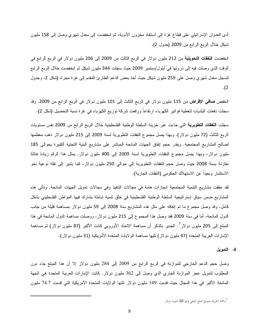أدى العدوان الإسرائيلـي علـي قطـاع غزة إلـي استنفاذ مـخزون الأدويـة، ثم انـخفضت إلـي مـعدل شـهري وصـل إلـي 158 مليون شيكل خلال الربع الرابع من 2009 (جدول 2).

انخفضت ا**لنفقات التحويلية** من 212 مليون دولار في الربع الثالث من 2009 إلى 206 مليون دولار في الربع الرابع في الوقت الذي وصلت فيه إلى ذروتها في أيلول/سبتمبر 2009 حيث سجلت 344 مليون شيكل ثم انخفضت خلال الربع الرابع لنسجل معدل شهري وصل على 259 مليون شيكل حيث أخذ بعض الدعم الطارئ المقدم إلى غزة مجراه (شكل 2، وجدول  $\cdot$ (2

انخفض **صافي الإقراض** من 115 مليون دولار في الربع الثالث إلى 101 مليون دولار في الربع الرابع من 2009. وقد سجلت دفعات البلديات لتغطية فواتير الكهرباء ارتفاعا ورفعت شركة توزيع الكهرباء في غزة نسبة التحصيل (شكل 2).

سجلت ا**لنفقات التطويرية** التي جاءت عبر خزينة السلطة الوطنية الفلسطينية خلال الربع الرابع من 2009 نفس مستويات الربع الثالث (72 مليون دولار). وبهذا يصل مجموع النفقات التطويرية لسنة 2009 إلى 215 مليون دولار ذهب معظمها لصالح المشاريع المجتمعية. ويقدر حجم إنفاق الجهات المانحة المباشر على مشاريع البنية التحتية الكبيرة بحوالي 185 مليون دولار، وبهذا يصل مجموع النفقات النطويرية لسنة 2009 إلى 400 مليون دولار. يمثل هذا الرقم زيادة هائلة مقارنة بسنة 2008 حيث وصل حجم النفقات النطويرية إلى حوالـي 250 مليون دولار ، كما يشير إلى نقلة نوعية نحو الاستثمار وبعيدا عن الاستهلاك الحكومي (النفقات الجارية).

لقد حققت مشاريع النتمية المجتمعية انجازات هامة في مجالات النتفيذ وفي مجالات تمويل الجهات المانحة. وتأتي هذه المشاريع ضمن سياق إستراتيجية السلطة الوطنية الفلسطينية في خلق نتمية شاملة يشارك فيها المواطن الفلسطيني بشكل كامل. وقد وصل مجموع ما تم إنفاقه على مثل هذه المشاريع سنة 2008 إلى 59 مليون دولار بمساهمة قليلة من جانب الدول المانحة، أما في سنة 2009 فقد وصل هذا المجموع إلى 215 مليون دولار ، ووصلت مساهمة الدول المانحة في هذا المبلغ إلى 205 مليون دولار<sup>7</sup>. الجدير بالذكر أن مساهمة الاتحاد الأوروبي كانت الأكبر (87 مليون دولار) ثم مساه*م*ة الإمارات العربية المنحدة (47 مليون دولار) نليها مساهمة الولايات المنحدة الأمريكية (31 مليون دولار).

4. التمويل

وصل حجم الدعم الخارجي للموازنة في الربع الرابع من 2009 إلى 284 مليون دولار إلا أن هذا المبلغ جاء دون المطلوب لتمويل عجز الموازنة الجاري الذي وصل إلى 362 مليون دولار. كانت الإمارات العربية المتحدة هي الجهة المانحة الأكبر في هذا المجال حيث قدمت 149 مليون دولار نلتها الولايات المتحدة الأمريكية التي قدمت 74.7 مليون

<sup>7&</sup>lt;sub>سا</sub>همة الخزينة بتمويل المبلغ المتبقى وهو 10 مليون دولار.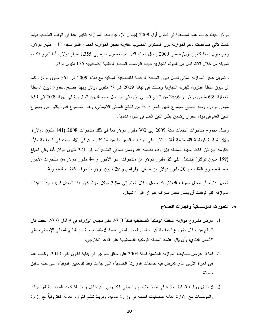دولار حيث جاءت هذه المساعدة في كانون أول 2009 (جدول 7). جاء دعم الموازنة الكبير هذا في الوقت المناسب بينما كانت نأتـي مساهمات دعم الموازنة دون المستوى المطلوب مقارنة بعجز الموازنة المعدل الذي سجل 1.45 مليار دولار. ومع حلول نـهايـة كـانون أول/ديسمبر 2009 وصـل الممبلـغ الذي تم الـحصول عليه إلـى 1.355 مليـار دولار . أمـا الفرق فقد تم تمويله من خلال الاقتراض من البنوك التجارية حيث اقترضت السلطة الوطنية الفلسطينية 176 مليون دولار .

وبتمويل عجز الموازنة المالي تصل ديون السلطة الوطنية الفلسطينية المحلية مع نهاية 2009 إلى 561 مليون دولار . كما أن ديون سلطة البنرول للبنوك التجارية وصلت في نهاية 2009 إلى 78 مليون دولار وبهذا يصبح مجموع ديون السلطة المحلية 639 مليون دولار أو 9.6% من الناتج المحلي الإجمالي. ووصل حجم الديون الخارجية في نهاية 2009 إلى 359 مليون دولار . وبهذا يصبح مجموع الدين العام 15% من الناتج المحلي الإجمالي، وهذا المجموع أدنـي بكثير من مجموع الدين العام في دول الجوار وضمن إطار الدين العام في الدول النامية.

وصل مجموع متأخرات الدفعات سنة 2009 إلى 300 مليون دولار بما في ذلك متأخرات 2008 (141 مليون دولار). ولأن السلطة الوطنية الفلسطينية أنفقت أكثر على الرديات الضريبية من ما كان مبين في الالتزامات في الموازنة ولأن حكومة إسرائيل كانت مدينة للسلطة بايرادات مقاصنة فقد وصل صافي المتأخرات إلى 221 مليون دولار أما باقي المبلغ (159 مليون دولار) فيشتمل على 65 مليون دولار من متأخرات غير الأجور و 44 مليون دولار من متأخرات الأجور خاصة صندوق النقاعد، و 20 مليون دولار من صافي الإقراض و 29 مليون دولار متأخرات النفقات النطويرية.

الجدير ذكره أن معدل صرف الدولار قد وصل خلال العام إلى 3.94 شيكل حيث كان هذا المعدل قريب جداً لنتبؤات الموازنة التي نوقعت أن يصل معدل صرف الدولار إلى 4 شيكل.

- 5. التطورات المؤسساتية وإنجازات الإصلاح
- 1. عرض مشروع موازنة السلطة الوطنية الفلسطينية لسنة 2010 على مجلس الوزراء في 8 أذار 2010، حيث كان النَّوقع من خلال مشروع الموازنة أن ينخفض العجز المالـي بنسبة 5 نقاط مؤوية من الناتج المحلـي الإجمالـي، علـي الأساس النقدي، وأن يقل اعتماد السلطة الوطنية الفلسطينية على الدعم الخارجي.
- 2. كما تم عرض حسابات الموازنة الختامية لسنة 2008 على مدقق خارجي في بداية كانون ثاني 2010، وكانت هذه هي المرة الأولى الذي تعرض فيه حسابات الموازنة الختامية، التي جاءت وفقاً للمعابير الدولية، على جهة تدقيق مستقلة.

3. لا نزال وزارة المالية سائرة في نتفيذ نظام إدارة مالي الكتروني من خلال ربط الشبكات المحاسبية للوزارات والمؤسسات مع الإدارة العامة للحسابات العامة في وزارة المالية. وبربط نظام اللوازم العامة الكترونيا مع وزارة